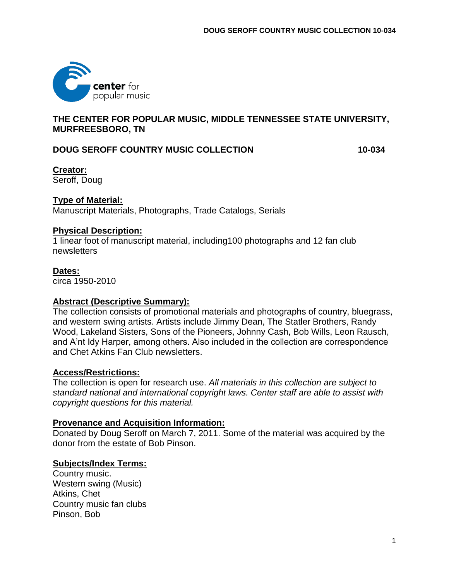

# **THE CENTER FOR POPULAR MUSIC, MIDDLE TENNESSEE STATE UNIVERSITY, MURFREESBORO, TN**

# **DOUG SEROFF COUNTRY MUSIC COLLECTION 10-034**

**Creator:** Seroff, Doug

#### **Type of Material:**

Manuscript Materials, Photographs, Trade Catalogs, Serials

#### **Physical Description:**

1 linear foot of manuscript material, including100 photographs and 12 fan club newsletters

#### **Dates:**

circa 1950-2010

### **Abstract (Descriptive Summary):**

The collection consists of promotional materials and photographs of country, bluegrass, and western swing artists. Artists include Jimmy Dean, The Statler Brothers, Randy Wood, Lakeland Sisters, Sons of the Pioneers, Johnny Cash, Bob Wills, Leon Rausch, and A'nt Idy Harper, among others. Also included in the collection are correspondence and Chet Atkins Fan Club newsletters.

#### **Access/Restrictions:**

The collection is open for research use. *All materials in this collection are subject to standard national and international copyright laws. Center staff are able to assist with copyright questions for this material.*

### **Provenance and Acquisition Information:**

Donated by Doug Seroff on March 7, 2011. Some of the material was acquired by the donor from the estate of Bob Pinson.

### **Subjects/Index Terms:**

Country music. Western swing (Music) Atkins, Chet Country music fan clubs Pinson, Bob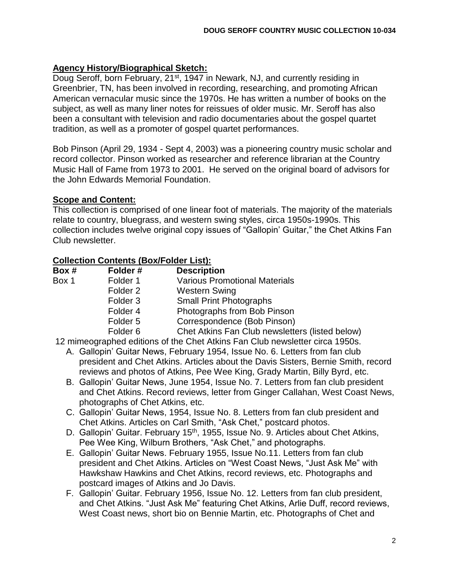### **Agency History/Biographical Sketch:**

Doug Seroff, born February, 21<sup>st</sup>, 1947 in Newark, NJ, and currently residing in Greenbrier, TN, has been involved in recording, researching, and promoting African American vernacular music since the 1970s. He has written a number of books on the subject, as well as many liner notes for reissues of older music. Mr. Seroff has also been a consultant with television and radio documentaries about the gospel quartet tradition, as well as a promoter of gospel quartet performances.

Bob Pinson (April 29, 1934 - Sept 4, 2003) was a pioneering country music scholar and record collector. Pinson worked as researcher and reference librarian at the Country Music Hall of Fame from 1973 to 2001. He served on the original board of advisors for the John Edwards Memorial Foundation.

### **Scope and Content:**

This collection is comprised of one linear foot of materials. The majority of the materials relate to country, bluegrass, and western swing styles, circa 1950s-1990s. This collection includes twelve original copy issues of "Gallopin' Guitar," the Chet Atkins Fan Club newsletter.

# **Collection Contents (Box/Folder List):**

| Box # | Folder#             | <b>Description</b>                                                                                                                                                                                    |
|-------|---------------------|-------------------------------------------------------------------------------------------------------------------------------------------------------------------------------------------------------|
| Box 1 | Folder 1            | <b>Various Promotional Materials</b>                                                                                                                                                                  |
|       | Folder <sub>2</sub> | <b>Western Swing</b>                                                                                                                                                                                  |
|       | Folder <sub>3</sub> | <b>Small Print Photographs</b>                                                                                                                                                                        |
|       | Folder 4            | Photographs from Bob Pinson                                                                                                                                                                           |
|       | Folder <sub>5</sub> | Correspondence (Bob Pinson)                                                                                                                                                                           |
|       | Folder <sub>6</sub> | Chet Atkins Fan Club newsletters (listed below)                                                                                                                                                       |
|       |                     | $\overline{10}$ . The $\overline{10}$ $\overline{10}$ $\overline{10}$ $\overline{10}$ $\overline{10}$ $\overline{10}$ $\overline{10}$ $\overline{10}$ $\overline{10}$ $\overline{10}$ $\overline{10}$ |

12 mimeographed editions of the Chet Atkins Fan Club newsletter circa 1950s.

- A. Gallopin' Guitar News, February 1954, Issue No. 6. Letters from fan club president and Chet Atkins. Articles about the Davis Sisters, Bernie Smith, record reviews and photos of Atkins, Pee Wee King, Grady Martin, Billy Byrd, etc.
- B. Gallopin' Guitar News, June 1954, Issue No. 7. Letters from fan club president and Chet Atkins. Record reviews, letter from Ginger Callahan, West Coast News, photographs of Chet Atkins, etc.
- C. Gallopin' Guitar News, 1954, Issue No. 8. Letters from fan club president and Chet Atkins. Articles on Carl Smith, "Ask Chet," postcard photos.
- D. Gallopin' Guitar. February 15<sup>th</sup>, 1955, Issue No. 9. Articles about Chet Atkins, Pee Wee King, Wilburn Brothers, "Ask Chet," and photographs.
- E. Gallopin' Guitar News. February 1955, Issue No.11. Letters from fan club president and Chet Atkins. Articles on "West Coast News, "Just Ask Me" with Hawkshaw Hawkins and Chet Atkins, record reviews, etc. Photographs and postcard images of Atkins and Jo Davis.
- F. Gallopin' Guitar. February 1956, Issue No. 12. Letters from fan club president, and Chet Atkins. "Just Ask Me" featuring Chet Atkins, Arlie Duff, record reviews, West Coast news, short bio on Bennie Martin, etc. Photographs of Chet and